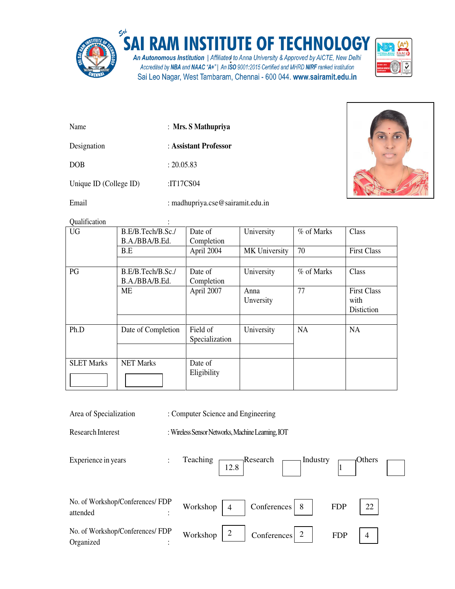

## SAI RAM INSTITUTE OF TECHNOLOGY

An Autonomous Institution | Affiliated to Anna University & Approved by AICTE, New Delhi Accredited by NBA and NAAC "A+" | An ISO 9001:2015 Certified and MHRD NIRF ranked institution Sai Leo Nagar, West Tambaram, Chennai - 600 044. www.sairamit.edu.in



| Name                   | : Mrs. S Mathupriya   |
|------------------------|-----------------------|
| Designation            | : Assistant Professor |
| <b>DOB</b>             | : 20.05.83            |
| Unique ID (College ID) | :IT17CS04             |

Email : madhupriya.cse@sairamit.edu.in



Qualification :

| Quanncation       | $\bullet$                           |                            |                   |            |                                          |
|-------------------|-------------------------------------|----------------------------|-------------------|------------|------------------------------------------|
| <b>UG</b>         | B.E/B.Tech/B.Sc./<br>B.A./BBA/B.Ed. | Date of<br>Completion      | University        | % of Marks | Class                                    |
|                   | B.E                                 | April 2004                 | MK University     | 70         | <b>First Class</b>                       |
| PG                | B.E/B.Tech/B.Sc./<br>B.A./BBA/B.Ed. | Date of<br>Completion      | University        | % of Marks | Class                                    |
|                   | ME                                  | April 2007                 | Anna<br>Unversity | 77         | <b>First Class</b><br>with<br>Distiction |
| Ph.D              | Date of Completion                  | Field of<br>Specialization | University        | NA         | NA                                       |
| <b>SLET Marks</b> | <b>NET Marks</b>                    | Date of<br>Eligibility     |                   |            |                                          |

Area of Specialization : Computer Science and Engineering

Research Interest : Wireless Sensor Networks, Machine Learning, IOT

12.8

Experience in years :

Teaching Research  $\Box$ Industry  $\Box$ Others



1

| No. of Workshop/Conferences/ FDP              | Workshop                                                | 22         |  |
|-----------------------------------------------|---------------------------------------------------------|------------|--|
| attended                                      | Conferences 8                                           | <b>FDP</b> |  |
| No. of Workshop/Conferences/ FDP<br>Organized | Workshop $\vert$ 2<br>$\lfloor$ Conferences $\lfloor$ 2 | <b>FDP</b> |  |